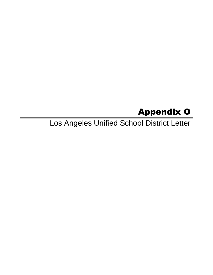# Appendix O

Los Angeles Unified School District Letter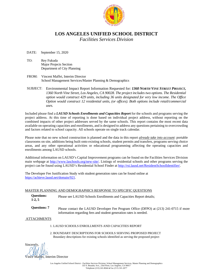

## **LOS ANGELES UNIFIED SCHOOL DISTRICT**

*Facilities Services Division*

#### DATE: September 15, 2020

TO: Rey Fukuda Major Projects Section Department of City Planning

- FROM: Vincent Maffei, Interim Director School Management Services/Master Planning & Demographics
- SUBJECT: Environmental Impact Report Information Requested for: *1360 NORTH VINE STREET PROJECT, 1360 North Vine Street, Los Angeles, CA 90028. The project includes two options. The Residential option would construct 429 units, including 36 units designated for very low income. The Office Option would construct 12 residential units, (or offices). Both options include retail/commercial uses.*

Included please find a *LAUSD Schools Enrollments and Capacities Report* for the schools and programs serving the project address. At this time of reporting is done based on individual project address, without reporting on the combined impacts of other project addresses served by the same schools. This report contains the most recent data available on operating capacities and enrollments, and is designed to address any questions pertaining to overcrowding and factors related to school capacity. All schools operate on single track calendar.

Please note that no new school construction is planned and the data in this report *already take into account*: portable classrooms on site, additions being built onto existing schools, student permits and transfers, programs serving choice areas, and any other operational activities or educational programming affecting the operating capacities and enrollments amo[ng LAUSD](http://www.laschools.org/new-site/) schools.

Additional information on LAUSD's Capital Improvement progra[ms can be found on the Facilities](http://rsi.lausd.net/ResidentSchoolIdentifier/) Services Division main webpage at http://www.laschools.org/new-site/. Listings of residential schools and other programs serving the [project can be found using LAUSD's](https://achieve.lausd.net/domain/921) Residential School Finder at http://rsi.lausd.net/ResidentSchoolIdentifier/.

The Developer Fee Justification Study with student generation rates can be found online at https://achieve.lausd.net/domain/921.

#### MASTER PLANNING AND DEMOGRAPHICS RESPONSE TO SPECIFIC QUESTIONS

- **Questions: 1-2, 5** Please see LAUSD Schools Enrollments and Capacities Report details;
- **Questions: 7** Please contact the LAUSD Developer Fee Program Office (DFPO) at (213) 241-0715 if more information regarding fees and student generation rates is needed.

#### ATTACHMENTS

- 1. LAUSD SCHOOLS ENROLLMENTS AND CAPACITIES REPORT
- 2. BOUNDARY DESCRIPTIONS FOR SCHOOLS SERVING PROPOSED PROJECT Boundary descriptions for existing schools identified as serving the proposed project

Sincerely, Maffei, Interim Director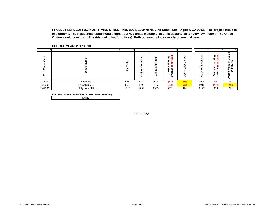**PROJECT SERVED: 1360 NORTH VINE STREET PROJECT, 1360 North Vine Street, Los Angeles, CA 90028. The project includes two options. The Residential option would construct 429 units, including 36 units designated for very low income. The Office Option would construct 12 residential units, (or offices). Both options includes retail/commercial uses.**

|                               |              |          |                                        |                                            |                                                                            |                                    |                                              |                                                               | 10                                                                |
|-------------------------------|--------------|----------|----------------------------------------|--------------------------------------------|----------------------------------------------------------------------------|------------------------------------|----------------------------------------------|---------------------------------------------------------------|-------------------------------------------------------------------|
| ಕಿ<br>Ō<br>enter<br>O<br>Cost | CD.<br>ଌ     | Capacity | ollment<br>=<br>∽<br>ш<br>sident<br>قع | ent<br>능<br>面<br>$\overline{\mathfrak{a}}$ | ଇ<br>ත<br>ರಾ<br>ċ<br>.=<br>ಸ<br>ω<br>w<br>Øΰ<br>ω<br>ō<br>σ<br>-<br>¢<br>۰ | $\sim$<br>o<br>Ź<br>ded<br>ਹੁ<br>Φ | Φ<br>틍<br>ш<br>ਹ<br>දී<br>.உ<br>$\circ$<br>Δ | Φ<br>eating<br>ō<br>Ŵ,<br>ъ<br>age<br>R<br>ن<br>ခဲ့<br>-<br>௳ | ರ<br>Ф<br>$\sum_{i=1}^{\infty}$<br>פַ<br>⋍<br>₹<br>щ.<br>ءِ.<br>o |
| 1426001                       | Grant El     | 574      | 621                                    | 513                                        | (47)                                                                       | <b>Yes</b>                         | 486                                          | 88                                                            | No                                                                |
| 1822601                       | Le Conte MS  | 601      | 1099                                   | 836                                        | (498)                                                                      | <b>Yes</b>                         | 1015                                         | (414)                                                         | <b>Yes</b>                                                        |
| 1869301                       | Hollywood SH | 1510     | 1234                                   | 1535                                       | 276                                                                        | No                                 | 1127                                         | 383                                                           | No                                                                |

#### **SCHOOL YEAR: 2017-2018**

**Schools Planned to Relieve Known Overcrowding**

NONE

see next page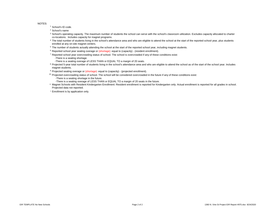NOTES:

<sup>1</sup> School's ID code.

<sup>2</sup> School's name

- <sup>3</sup> School's operating capacity. The maximum number of students the school can serve with the school's classroom utilization. Excludes capacity allocated to charter co-locations. Includes capacity for magnet programs.
- <sup>4</sup> The total number of students living in the school's attendance area and who are eligible to attend the school at the start of the reported school year, plus students enrolled at any on-site magnet centers.
- <sup>5</sup> The number of students actually attending the school at the start of the reported school year, including magnet students.
- <sup>6</sup> Reported school year seating overage or (shortage): equal to (capacity) (resident enrollment).
- <sup>7</sup> Reported school year overcrowding status of school. The school is overcrowded if any of these conditions exist:
	- -There is a seating shortage.
	- -There is a seating overage of LESS THAN or EQUAL TO a margin of 20 seats.
- <sup>8</sup> Projected 5-year total number of students living in the school's attendance area and who are eligible to attend the school as of the start of the school year. Includes magnet students.
- <sup>9</sup> Projected seating overage or (shortage): equal to (capacity) (projected enrollment).
- $10$  Projected overcrowding status of school. The school will be considered overcrowded in the future if any of these conditions exist: -There is a seating shortage in the future.
	- -There is a seating overage of LESS THAN or EQUAL TO a margin of 20 seats in the future.
- ° Magnet Schools with Resident Kindergarten Enrollment: Resident enrollment is reported for Kindergarten only. Actual enrollment is reported for all grades in school. Projected data not reported.
- \* Enrollment is by application only.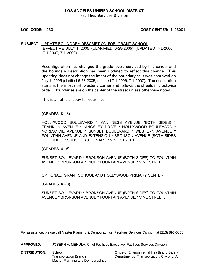### **LOS ANGELES UNIFIED SCHOOL DISTRICT F**acilities **S**ervices **D**ivision

#### **LOC. CODE:** 4260 **COST CENTER:** 1426001

### **SUBJECT:** UPDATE BOUNDARY DESCRIPTION FOR GRANT SCHOOL EFFECTIVE JULY 1, 2005 (CLARIFIED 6-28-2005) (UPDATED 7-1-2006; 7-1-2007; 7-1-2009).

Reconfiguration has changed the grade levels serviced by this school and the boundary description has been updated to reflect this change. This updating does not change the intent of the boundary as it was approved on July 1, 2005 (clarified 6-28-2005; updated 7-1-2006, 7-1-2007). The description starts at the most northwesterly corner and follows the streets in clockwise order. Boundaries are on the center of the street unless otherwise noted.

This is an official copy for your file.

(GRADES K - 6)

HOLLYWOOD BOULEVARD \* VAN NESS AVENUE (BOTH SIDES) \* FRANKLIN AVENUE \* KINGSLEY DRIVE \* HOLLYWOOD BOULEVARD \* NORMANDIE AVENUE \* SUNSET BOULEVARD \* WESTERN AVENUE \* FOUNTAIN AVENUE AND EXTENSION \* BRONSON AVENUE (BOTH SIDES EXCLUDED) \* SUNSET BOULEVARD \* VINE STREET.

(GRADES 4 - 6)

SUNSET BOULEVARD \* BRONSON AVENUE (BOTH SIDES) TO FOUNTAIN AVENUE \* BRONSON AVENUE \* FOUNTAIN AVENUE \* VINE STREET.

#### OPTIONAL: GRANT SCHOOL AND HOLLYWOOD PRIMARY CENTER

(GRADES K - 3)

SUNSET BOULEVARD \* BRONSON AVENUE (BOTH SIDES) TO FOUNTAIN AVENUE \* BRONSON AVENUE \* FOUNTAIN AVENUE \* VINE STREET.

For assistance, please call Master Planning & Demographics, Facilities Services Division, at (213) 893-6850.

**APPROVED:** JOSEPH A. MEHULA, Chief Facilities Executive, Facilities Services Division

**DISTRIBUTION:** School **Contact School** Cffice of Environmental Health and Safety Master Planning and Demographics

Transportation Branch Department of Transportation, City of L. A.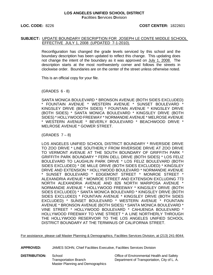**LOC. CODE:** 8226 **COST CENTER:** 1822601

### **SUBJECT:** UPDATE BOUNDARY DESCRIPTION FOR JOSEPH LE CONTE MIDDLE SCHOOL EFFECTIVE JULY 1, 2008 (UPDATED 7-1-2010).

Reconfiguration has changed the grade levels serviced by this school and the boundary description has been updated to reflect this change. This updating does not change the intent of the boundary as it was approved on July 1, 2008. The description starts at the most northwesterly corner and follows the streets in clockwise order. Boundaries are on the center of the street unless otherwise noted.

This is an official copy for your file.

(GRADES 6 - 8)

SANTA MONICA BOULEVARD \* BRONSON AVENUE (BOTH SIDES EXCLUDED) \* FOUNTAIN AVENUE \* WESTERN AVENUE \* SUNSET BOULEVARD \* KINGSLEY DRIVE (BOTH SIDES) \* FOUNTAIN AVENUE \* KINGSLEY DRIVE (BOTH SIDES) \* SANTA MONICA BOULEVARD \* KINGSLEY DRIVE (BOTH SIDES) \* HOLLYWOOD FREEWAY \* NORMANDIE AVENUE \* MELROSE AVENUE \* WESTERN AVENUE \* BEVERLY BOULEVARD \* BEACHWOOD DRIVE \* MELROSE AVENUE \* GOWER STREET.

 $(GRADES 7-8)$ 

LOS ANGELES UNIFIED SCHOOL DISTRICT BOUNDARY \* RIVERSIDE DRIVE TO ZOO DRIVE \* LINE SOUTHERLY FROM RIVERSIDE DRIVE AT ZOO DRIVE TO VERMONT AVENUE AT THE SOUTH BOUNDARY OF GRIFFITH PARK \* GRIFFITH PARK BOUNDARY \* FERN DELL DRIVE (BOTH SIDES) \* LOS FELIZ BOULEVARD TO LAUGHLIN PARK DRIVE \* LOS FELIZ BOULEVARD (BOTH SIDES EXCLUDED) \* DE MILLE DRIVE (BOTH SIDES EXCLUDED) \* KINGSLEY DRIVE AND EXTENSION \* HOLLYWOOD BOULEVARD \* NORMANDIE AVENUE SUNSET BOULEVARD \* EDGEMONT STREET \* MONROE STREET \* ALEXANDRIA AVENUE \* MONROE STREET AND EXTENSION EXCLUDING 773 NORTH ALEXANDRIA AVENUE AND 826 NORTH MARIPOSA AVENUE \* NORMANDIE AVENUE \* HOLLYWOOD FREEWAY \* KINGSLEY DRIVE (BOTH SIDES EXCLUDED) \* SANTA MONICA BOULEVARD \* KINGSLEY DRIVE (BOTH SIDES EXCLUDED) \* FOUNTAIN AVENUE \* KINGSLEY DRIVE (BOTH SIDES EXCLUDED) \* SUNSET BOULEVARD \* WESTERN AVENUE \* FOUNTAIN AVENUE \* BRONSON AVENUE (BOTH SIDES) \* SANTA MONICA BOULEVARD \* VINE STREET \* HOLLYWOOD BOULEVARD \* CAHUENGA BOULEVARD \* HOLLYWOOD FREEWAY TO VINE STREET \* A LINE NORTHERLY THROUGH THE HOLLYWOOD RESERVOIR TO THE LOS ANGELES UNIFIED SCHOOL DISTRICT BOUNDARY AT THE TERMINUS OF CALIFORNIA STREET.

For assistance, please call Master Planning & Demographics, Facilities Services Division, at (213) 241-8044.

**APPROVED:** JAMES SOHN, Chief Facilities Executive, Facilities Services Division

**DISTRIBUTION:** School **Contains School** Cffice of Environmental Health and Safety Master Planning and Demographics

Transportation Branch Department of Transportation, City of L. A.